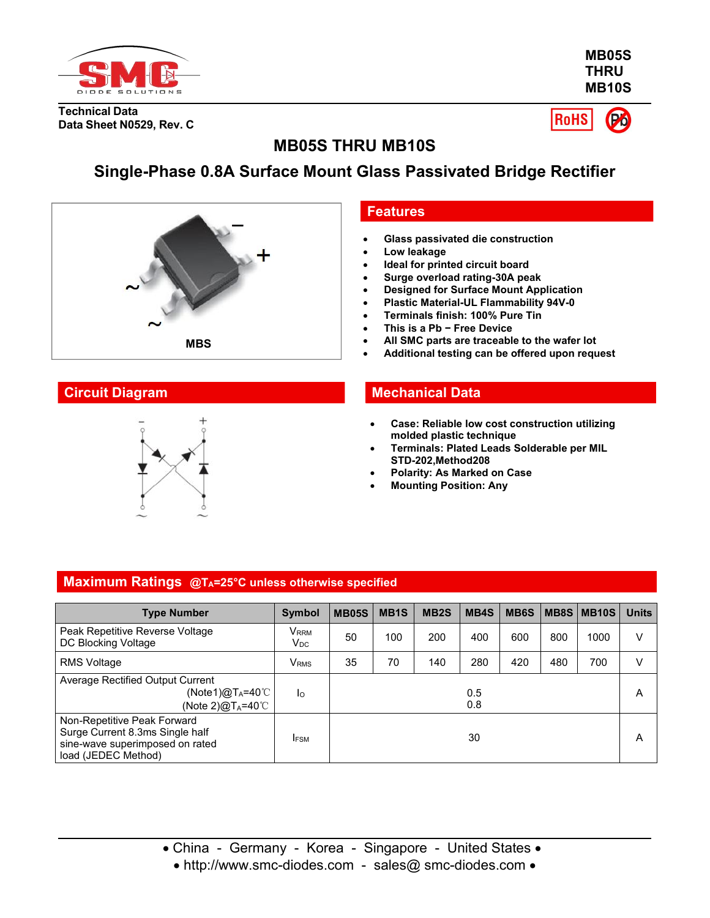

**MB05S THRU MB10S**

**Technical Data Data Sheet N0529, Rev. C**

 $P<sub>0</sub>$ **RoHS** 

# **MB05S THRU MB10S**

# **Single-Phase 0.8A Surface Mount Glass Passivated Bridge Rectifier**





#### **Features**

- **Glass passivated die construction**
- **Low leakage**
- **Ideal for printed circuit board**
- **Surge overload rating-30A peak**
- **Designed for Surface Mount Application**
- **Plastic Material-UL Flammability 94V-0**
- **Terminals finish: 100% Pure Tin**
- **This is a Pb − Free Device**
- **All SMC parts are traceable to the wafer lot**
- **Additional testing can be offered upon request**

## **Circuit Diagram Mechanical Data**

- **Case: Reliable low costconstruction utilizing molded plastic technique**
- **Terminals: Plated Leads Solderable per MIL STD-202,Method208**
- **Polarity: As Marked on Case**
- **Mounting Position: Any**

#### **Maximum Ratings @TA=25°C unless otherwise specified**

| <b>Type Number</b>                                                                                                       | <b>Symbol</b>                | <b>MB05S</b> | MB <sub>1</sub> S | MB <sub>2</sub> S | MB4S       | MB <sub>6</sub> S |     | MB8S MB10S | <b>Units</b> |
|--------------------------------------------------------------------------------------------------------------------------|------------------------------|--------------|-------------------|-------------------|------------|-------------------|-----|------------|--------------|
| Peak Repetitive Reverse Voltage<br>DC Blocking Voltage                                                                   | V <sub>rrm</sub><br>$V_{DC}$ | 50           | 100               | 200               | 400        | 600               | 800 | 1000       | V            |
| <b>RMS Voltage</b>                                                                                                       | V <sub>RMS</sub>             | 35           | 70                | 140               | 280        | 420               | 480 | 700        | V            |
| Average Rectified Output Current<br>(Note1) $@T_A=40^{\circ}$ C<br>(Note 2) $@T_A=40^{\circ}$ C                          | Ιo                           |              |                   |                   | 0.5<br>0.8 |                   |     |            | A            |
| Non-Repetitive Peak Forward<br>Surge Current 8.3ms Single half<br>sine-wave superimposed on rated<br>load (JEDEC Method) | <b>IFSM</b>                  |              |                   |                   | 30         |                   |     |            | A            |

• http://www.smc-diodes.com - sales@ smc-diodes.com •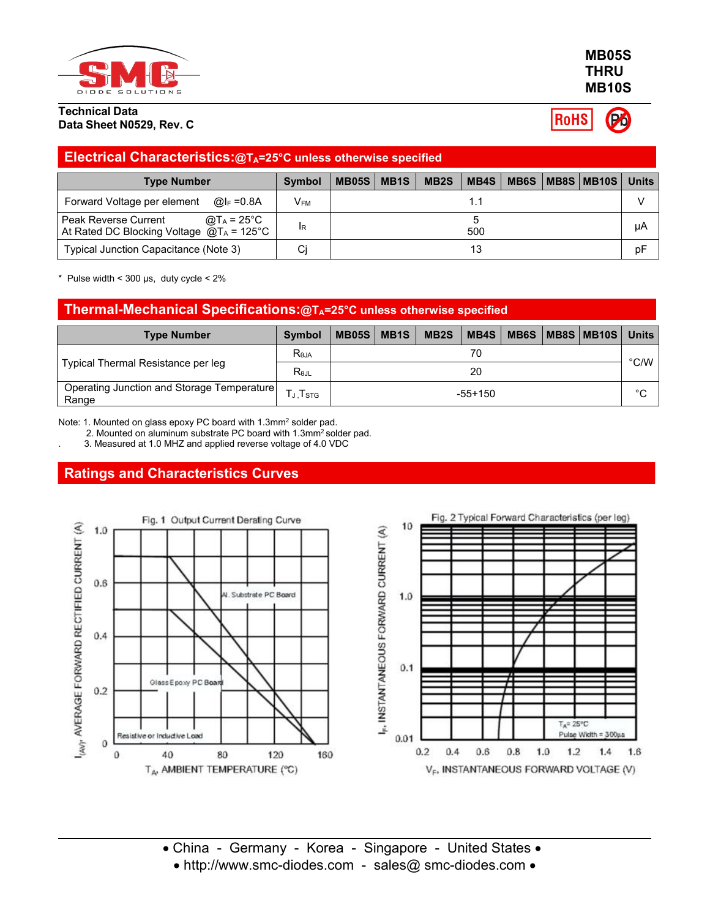

#### **Technical Data Data Sheet N0529, Rev. C**

| <b>MB05S</b> |  |
|--------------|--|
| <b>THRU</b>  |  |
| <b>MB10S</b> |  |

**RoHS** Po

| <b>Electrical Characteristics:@TA=25°C unless otherwise specified</b>                       |        |              |                   |      |  |                              |              |
|---------------------------------------------------------------------------------------------|--------|--------------|-------------------|------|--|------------------------------|--------------|
| <b>Type Number</b>                                                                          | Symbol | $MB05S$ MB1S | MB <sub>2</sub> S | MB4S |  | <b>MB6S   MB8S   MB10S  </b> | <b>Units</b> |
| Forward Voltage per element<br>@l⊧ =0.8A                                                    | Vғм    |              |                   |      |  |                              |              |
| Peak Reverse Current<br>@T $_A$ = 25°C<br>At Rated DC Blocking Voltage $@T_A = 125^\circ C$ | IR.    |              |                   | 500  |  |                              | цA           |
| Typical Junction Capacitance (Note 3)                                                       | Cj     |              |                   |      |  |                              | pF           |

 $*$  Pulse width < 300 µs, duty cycle <  $2\%$ 

| Thermal-Mechanical Specifications:@TA=25°C unless otherwise specified |                   |              |             |                   |           |  |                            |              |
|-----------------------------------------------------------------------|-------------------|--------------|-------------|-------------------|-----------|--|----------------------------|--------------|
| <b>Type Number</b>                                                    | <b>Symbol</b>     | <b>MB05S</b> | <b>MB1S</b> | MB <sub>2</sub> S |           |  | MB4S   MB6S   MB8S   MB10S | <b>Units</b> |
|                                                                       | R <sub>eja</sub>  |              |             |                   | 70        |  |                            | °C/W         |
| Typical Thermal Resistance per leg                                    | $R_{0,II}$        |              |             |                   | 20        |  |                            |              |
| Operating Junction and Storage Temperature<br>Range                   | $T_J$ , $T_{STG}$ |              |             |                   | $-55+150$ |  |                            | $\sim$<br>ັ  |

Note: 1. Mounted on glass epoxy PC board with 1.3mm<sup>2</sup> solder pad.

2. Mounted on aluminum substrate PC board with 1.3mm<sup>2</sup> solder pad.

. 3. Measured at 1.0 MHZ and applied reverse voltage of 4.0 VDC

## **Ratings and Characteristics Curves**





China - Germany - Korea - Singapore - United States

• http://www.smc-diodes.com - sales@ smc-diodes.com •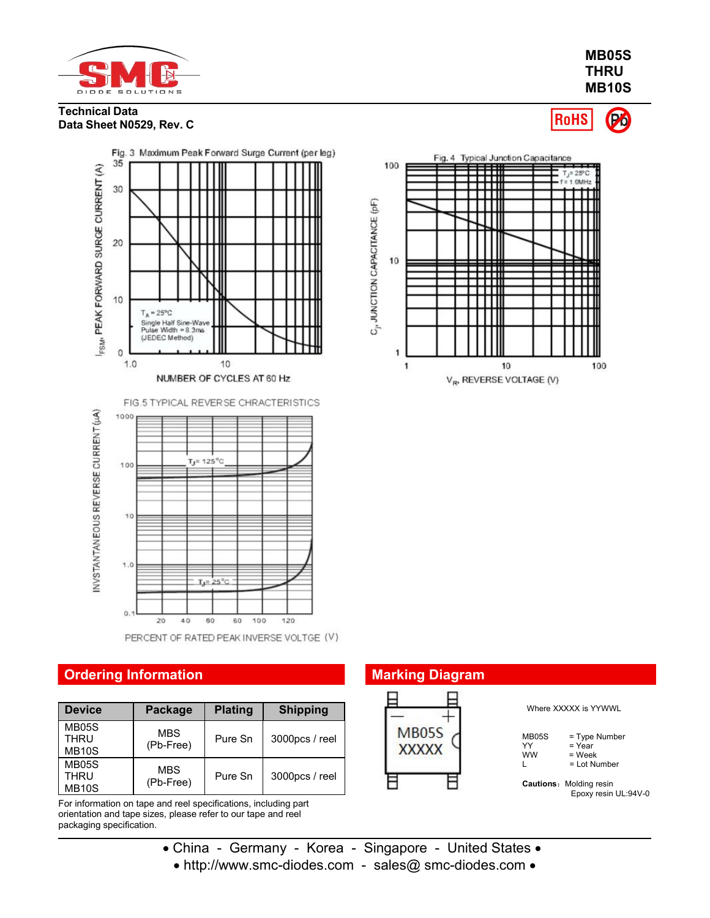

**MB05S THRU MB10S**

Po

RoHS

#### **Technical Data Data Sheet N0529, Rev. C**



PERCENT OF RATED PEAK INVERSE VOLTGE (V)

## **Ordering Information**

| <b>Device</b>                               | Package                 | <b>Plating</b> | <b>Shipping</b> |                              |
|---------------------------------------------|-------------------------|----------------|-----------------|------------------------------|
| <b>MB05S</b><br><b>THRU</b><br><b>MB10S</b> | <b>MBS</b><br>(Pb-Free) | Pure Sn        | 3000pcs / reel  | <b>MB05S</b><br><b>XXXXX</b> |
| <b>MB05S</b><br>THRU<br>MB <sub>10</sub> S  | <b>MBS</b><br>(Pb-Free) | Pure Sn        | 3000pcs / reel  |                              |

For information on tape and reel specifications, including part orientation and tape sizes, please refer to our tape and reel packaging specification.



| <b>Marking Diagram</b>       |                                 |                                                         |
|------------------------------|---------------------------------|---------------------------------------------------------|
|                              |                                 | Where XXXXX is YYWWL                                    |
| <b>MB05S</b><br><b>XXXXX</b> | <b>MB05S</b><br>YY<br><b>WW</b> | = Type Number<br>$=$ Year<br>$=$ Week<br>$=$ Lot Number |
|                              |                                 | <b>Cautions: Molding resin</b><br>Epoxy resin UL:94V-0  |

- China Germany Korea Singapore United States
	- http://www.smc-diodes.com sales@ smc-diodes.com •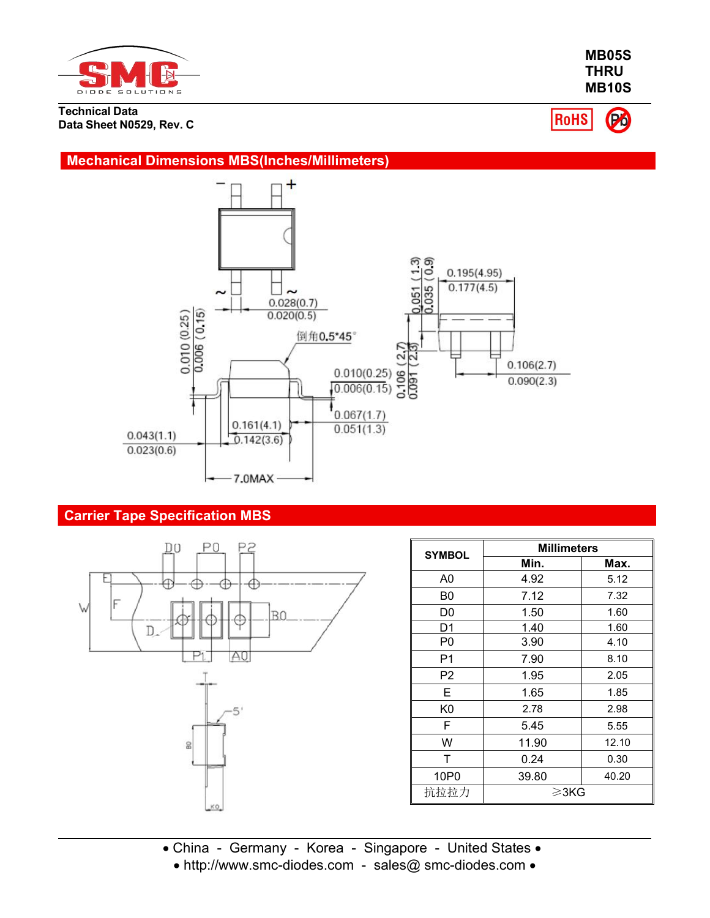

**Technical Data Data Sheet N0529, Rev. C**

**MB10S RoHS** Po

**MB05S THRU**

### **Mechanical Dimensions MBS(Inches/Millimeters)**



## **Carrier Tape Specification MBS**



| <b>SYMBOL</b>  | <b>Millimeters</b> |       |  |  |
|----------------|--------------------|-------|--|--|
|                | Min.               | Max.  |  |  |
| A <sub>0</sub> | 4.92               | 5.12  |  |  |
| B0             | 7.12               | 7.32  |  |  |
| D0             | 1.50               | 1.60  |  |  |
| D <sub>1</sub> | 1.40               | 1.60  |  |  |
| P <sub>0</sub> | 3.90               | 4.10  |  |  |
| P1             | 7.90               | 8.10  |  |  |
| P <sub>2</sub> | 1.95               | 2.05  |  |  |
| Е              | 1.65               | 1.85  |  |  |
| K <sub>0</sub> | 2.78               | 2.98  |  |  |
| F              | 5.45               | 5.55  |  |  |
| W              | 11.90              | 12.10 |  |  |
| T              | 0.24               | 0.30  |  |  |
| 10P0           | 39.80              | 40.20 |  |  |
| 抗拉拉力           | ≥3KG               |       |  |  |

- China Germany Korea Singapore United States
	- http://www.smc-diodes.com sales@ smc-diodes.com •